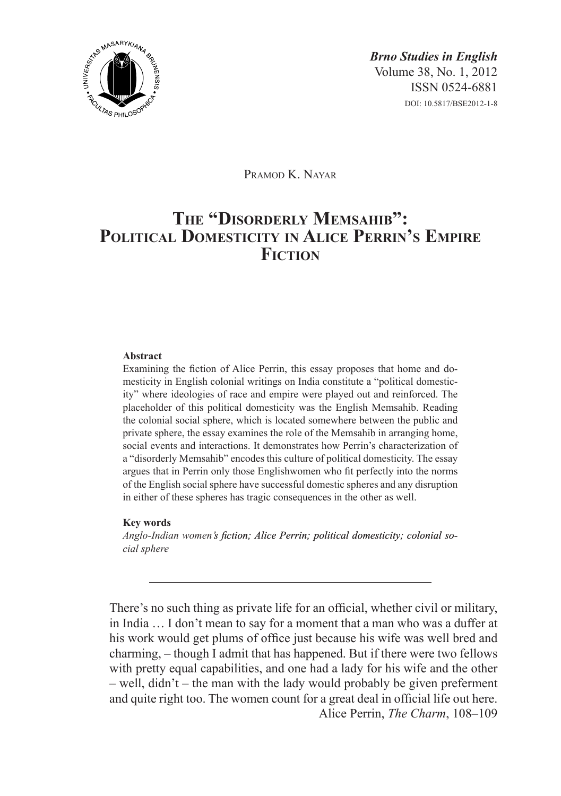

Pramod K. Nayar

# **The "Disorderly Memsahib": Political Domesticity in Alice Perrin's Empire FICTION**

#### **Abstract**

Examining the fiction of Alice Perrin, this essay proposes that home and domesticity in English colonial writings on India constitute a "political domesticity" where ideologies of race and empire were played out and reinforced. The placeholder of this political domesticity was the English Memsahib. Reading the colonial social sphere, which is located somewhere between the public and private sphere, the essay examines the role of the Memsahib in arranging home, social events and interactions. It demonstrates how Perrin's characterization of a "disorderly Memsahib" encodes this culture of political domesticity. The essay argues that in Perrin only those Englishwomen who fit perfectly into the norms of the English social sphere have successful domestic spheres and any disruption in either of these spheres has tragic consequences in the other as well.

#### **Key words**

*Anglo-Indian women��'s fict ���ion;� Alic�e P�err��in;� p�olit�ic�al domest��ic�ity; ��� c�olonial s�o cial sphere*

There's no such thing as private life for an official, whether civil or military, in India … I don't mean to say for a moment that a man who was a duffer at his work would get plums of office just because his wife was well bred and charming, – though I admit that has happened. But if there were two fellows with pretty equal capabilities, and one had a lady for his wife and the other – well, didn't – the man with the lady would probably be given preferment and quite right too. The women count for a great deal in official life out here. Alice Perrin, *The Charm*, 108–109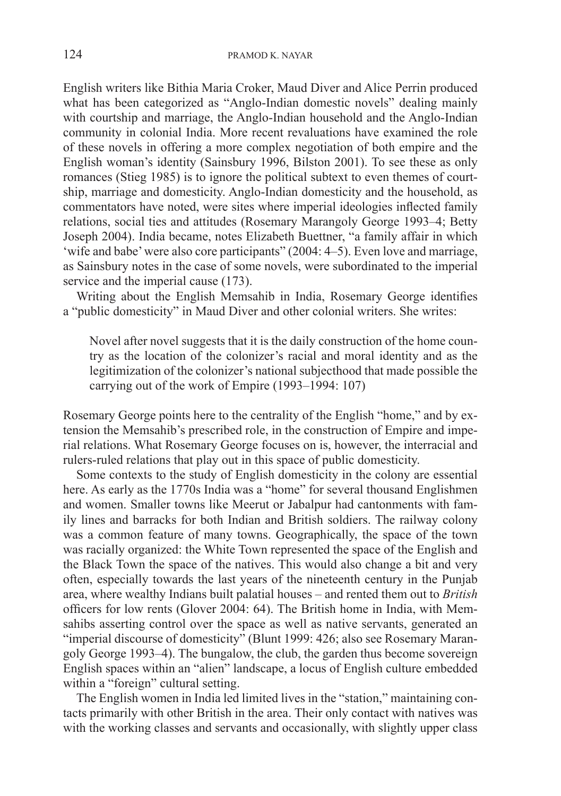English writers like Bithia Maria Croker, Maud Diver and Alice Perrin produced what has been categorized as "Anglo-Indian domestic novels" dealing mainly with courtship and marriage, the Anglo-Indian household and the Anglo-Indian community in colonial India. More recent revaluations have examined the role of these novels in offering a more complex negotiation of both empire and the English woman's identity (Sainsbury 1996, Bilston 2001). To see these as only romances (Stieg 1985) is to ignore the political subtext to even themes of courtship, marriage and domesticity. Anglo-Indian domesticity and the household, as commentators have noted, were sites where imperial ideologies inflected family relations, social ties and attitudes (Rosemary Marangoly George 1993–4; Betty Joseph 2004). India became, notes Elizabeth Buettner, "a family affair in which 'wife and babe' were also core participants" (2004: 4–5). Even love and marriage, as Sainsbury notes in the case of some novels, were subordinated to the imperial service and the imperial cause  $(173)$ .

Writing about the English Memsahib in India, Rosemary George identifies a "public domesticity" in Maud Diver and other colonial writers. She writes:

Novel after novel suggests that it is the daily construction of the home country as the location of the colonizer's racial and moral identity and as the legitimization of the colonizer's national subjecthood that made possible the carrying out of the work of Empire (1993–1994: 107)

Rosemary George points here to the centrality of the English "home," and by extension the Memsahib's prescribed role, in the construction of Empire and imperial relations. What Rosemary George focuses on is, however, the interracial and rulers-ruled relations that play out in this space of public domesticity.

Some contexts to the study of English domesticity in the colony are essential here. As early as the 1770s India was a "home" for several thousand Englishmen and women. Smaller towns like Meerut or Jabalpur had cantonments with family lines and barracks for both Indian and British soldiers. The railway colony was a common feature of many towns. Geographically, the space of the town was racially organized: the White Town represented the space of the English and the Black Town the space of the natives. This would also change a bit and very often, especially towards the last years of the nineteenth century in the Punjab area, where wealthy Indians built palatial houses – and rented them out to *British* officers for low rents (Glover 2004: 64). The British home in India, with Memsahibs asserting control over the space as well as native servants, generated an "imperial discourse of domesticity" (Blunt 1999: 426; also see Rosemary Marangoly George 1993–4). The bungalow, the club, the garden thus become sovereign English spaces within an "alien" landscape, a locus of English culture embedded within a "foreign" cultural setting.

The English women in India led limited lives in the "station," maintaining contacts primarily with other British in the area. Their only contact with natives was with the working classes and servants and occasionally, with slightly upper class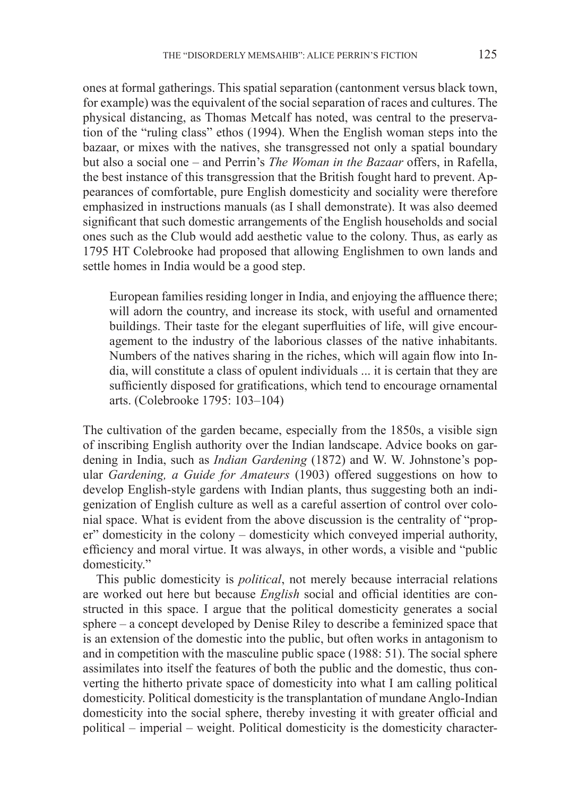ones at formal gatherings. This spatial separation (cantonment versus black town, for example) was the equivalent of the social separation of races and cultures. The physical distancing, as Thomas Metcalf has noted, was central to the preservation of the "ruling class" ethos (1994). When the English woman steps into the bazaar, or mixes with the natives, she transgressed not only a spatial boundary but also a social one – and Perrin's *The Woman in the Bazaar* offers, in Rafella, the best instance of this transgression that the British fought hard to prevent. Appearances of comfortable, pure English domesticity and sociality were therefore emphasized in instructions manuals (as I shall demonstrate). It was also deemed significant that such domestic arrangements of the English households and social ones such as the Club would add aesthetic value to the colony. Thus, as early as 1795 HT Colebrooke had proposed that allowing Englishmen to own lands and settle homes in India would be a good step.

European families residing longer in India, and enjoying the affluence there; will adorn the country, and increase its stock, with useful and ornamented buildings. Their taste for the elegant superfluities of life, will give encouragement to the industry of the laborious classes of the native inhabitants. Numbers of the natives sharing in the riches, which will again flow into India, will constitute a class of opulent individuals ... it is certain that they are sufficiently disposed for gratifications, which tend to encourage ornamental arts. (Colebrooke 1795: 103–104)

The cultivation of the garden became, especially from the 1850s, a visible sign of inscribing English authority over the Indian landscape. Advice books on gardening in India, such as *Indian Gardening* (1872) and W. W. Johnstone's popular *Gardening, a Guide for Amateurs* (1903) offered suggestions on how to develop English-style gardens with Indian plants, thus suggesting both an indigenization of English culture as well as a careful assertion of control over colonial space. What is evident from the above discussion is the centrality of "proper" domesticity in the colony – domesticity which conveyed imperial authority, efficiency and moral virtue. It was always, in other words, a visible and "public domesticity."

This public domesticity is *political*, not merely because interracial relations are worked out here but because *English* social and official identities are constructed in this space. I argue that the political domesticity generates a social sphere – a concept developed by Denise Riley to describe a feminized space that is an extension of the domestic into the public, but often works in antagonism to and in competition with the masculine public space (1988: 51). The social sphere assimilates into itself the features of both the public and the domestic, thus converting the hitherto private space of domesticity into what I am calling political domesticity. Political domesticity is the transplantation of mundane Anglo-Indian domesticity into the social sphere, thereby investing it with greater official and political – imperial – weight. Political domesticity is the domesticity character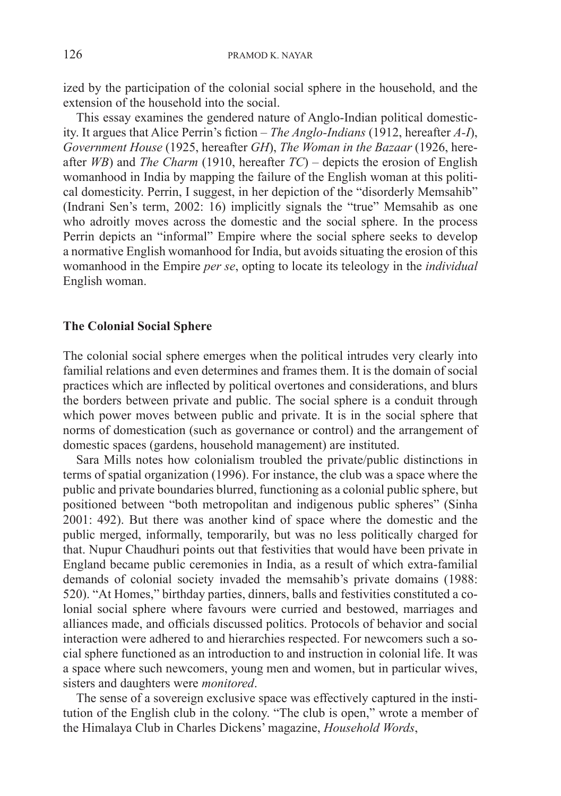ized by the participation of the colonial social sphere in the household, and the extension of the household into the social.

This essay examines the gendered nature of Anglo-Indian political domesticity. It argues that Alice Perrin's fiction – *The Anglo-Indians* (1912, hereafter *A-I*), *Government House* (1925, hereafter *GH*), *The Woman in the Bazaar* (1926, hereafter *WB*) and *The Charm* (1910, hereafter *TC*) – depicts the erosion of English womanhood in India by mapping the failure of the English woman at this political domesticity. Perrin, I suggest, in her depiction of the "disorderly Memsahib" (Indrani Sen's term, 2002: 16) implicitly signals the "true" Memsahib as one who adroitly moves across the domestic and the social sphere. In the process Perrin depicts an "informal" Empire where the social sphere seeks to develop a normative English womanhood for India, but avoids situating the erosion of this womanhood in the Empire *per se*, opting to locate its teleology in the *individual* English woman.

## **The Colonial Social Sphere**

The colonial social sphere emerges when the political intrudes very clearly into familial relations and even determines and frames them. It is the domain of social practices which are inflected by political overtones and considerations, and blurs the borders between private and public. The social sphere is a conduit through which power moves between public and private. It is in the social sphere that norms of domestication (such as governance or control) and the arrangement of domestic spaces (gardens, household management) are instituted.

Sara Mills notes how colonialism troubled the private/public distinctions in terms of spatial organization (1996). For instance, the club was a space where the public and private boundaries blurred, functioning as a colonial public sphere, but positioned between "both metropolitan and indigenous public spheres" (Sinha 2001: 492). But there was another kind of space where the domestic and the public merged, informally, temporarily, but was no less politically charged for that. Nupur Chaudhuri points out that festivities that would have been private in England became public ceremonies in India, as a result of which extra-familial demands of colonial society invaded the memsahib's private domains (1988: 520). "At Homes," birthday parties, dinners, balls and festivities constituted a colonial social sphere where favours were curried and bestowed, marriages and alliances made, and officials discussed politics. Protocols of behavior and social interaction were adhered to and hierarchies respected. For newcomers such a social sphere functioned as an introduction to and instruction in colonial life. It was a space where such newcomers, young men and women, but in particular wives, sisters and daughters were *monitored*.

The sense of a sovereign exclusive space was effectively captured in the institution of the English club in the colony. "The club is open," wrote a member of the Himalaya Club in Charles Dickens' magazine, *Household Words*,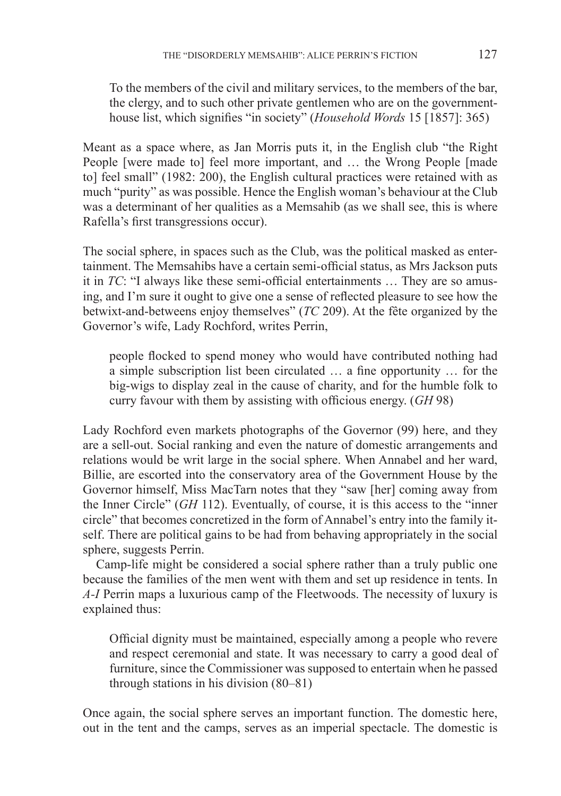To the members of the civil and military services, to the members of the bar, the clergy, and to such other private gentlemen who are on the governmenthouse list, which signifies "in society" (*Household Words* 15 [1857]: 365)

Meant as a space where, as Jan Morris puts it, in the English club "the Right People [were made to] feel more important, and … the Wrong People [made to] feel small" (1982: 200), the English cultural practices were retained with as much "purity" as was possible. Hence the English woman's behaviour at the Club was a determinant of her qualities as a Memsahib (as we shall see, this is where Rafella's first transgressions occur).

The social sphere, in spaces such as the Club, was the political masked as entertainment. The Memsahibs have a certain semi-official status, as Mrs Jackson puts it in *TC*: "I always like these semi-official entertainments … They are so amusing, and I'm sure it ought to give one a sense of reflected pleasure to see how the betwixt-and-betweens enjoy themselves" (*TC* 209). At the fête organized by the Governor's wife, Lady Rochford, writes Perrin,

people flocked to spend money who would have contributed nothing had a simple subscription list been circulated … a fine opportunity … for the big-wigs to display zeal in the cause of charity, and for the humble folk to curry favour with them by assisting with officious energy. (*GH* 98)

Lady Rochford even markets photographs of the Governor (99) here, and they are a sell-out. Social ranking and even the nature of domestic arrangements and relations would be writ large in the social sphere. When Annabel and her ward, Billie, are escorted into the conservatory area of the Government House by the Governor himself, Miss MacTarn notes that they "saw [her] coming away from the Inner Circle" (*GH* 112). Eventually, of course, it is this access to the "inner circle" that becomes concretized in the form of Annabel's entry into the family itself. There are political gains to be had from behaving appropriately in the social sphere, suggests Perrin.

Camp-life might be considered a social sphere rather than a truly public one because the families of the men went with them and set up residence in tents. In *A-I* Perrin maps a luxurious camp of the Fleetwoods. The necessity of luxury is explained thus:

Official dignity must be maintained, especially among a people who revere and respect ceremonial and state. It was necessary to carry a good deal of furniture, since the Commissioner was supposed to entertain when he passed through stations in his division (80–81)

Once again, the social sphere serves an important function. The domestic here, out in the tent and the camps, serves as an imperial spectacle. The domestic is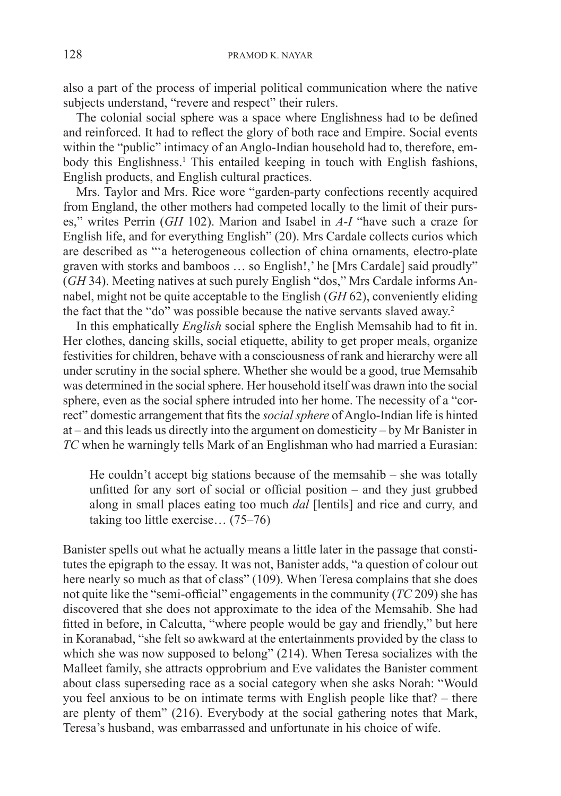also a part of the process of imperial political communication where the native subjects understand, "revere and respect" their rulers.

The colonial social sphere was a space where Englishness had to be defined and reinforced. It had to reflect the glory of both race and Empire. Social events within the "public" intimacy of an Anglo-Indian household had to, therefore, embody this Englishness.<sup>1</sup> This entailed keeping in touch with English fashions, English products, and English cultural practices.

Mrs. Taylor and Mrs. Rice wore "garden-party confections recently acquired from England, the other mothers had competed locally to the limit of their purses," writes Perrin (*GH* 102). Marion and Isabel in *A-I* "have such a craze for English life, and for everything English" (20). Mrs Cardale collects curios which are described as "'a heterogeneous collection of china ornaments, electro-plate graven with storks and bamboos … so English!,' he [Mrs Cardale] said proudly" (*GH* 34). Meeting natives at such purely English "dos," Mrs Cardale informs Annabel, might not be quite acceptable to the English (*GH* 62), conveniently eliding the fact that the "do" was possible because the native servants slaved away. 2

In this emphatically *English* social sphere the English Memsahib had to fit in. Her clothes, dancing skills, social etiquette, ability to get proper meals, organize festivities for children, behave with a consciousness of rank and hierarchy were all under scrutiny in the social sphere. Whether she would be a good, true Memsahib was determined in the social sphere. Her household itself was drawn into the social sphere, even as the social sphere intruded into her home. The necessity of a "correct" domestic arrangement that fits the *socialsphere* of Anglo-Indian life is hinted at – and this leads us directly into the argument on domesticity – by Mr Banister in *TC* when he warningly tells Mark of an Englishman who had married a Eurasian:

He couldn't accept big stations because of the memsahib – she was totally unfitted for any sort of social or official position – and they just grubbed along in small places eating too much *dal* [lentils] and rice and curry, and taking too little exercise… (75–76)

Banister spells out what he actually means a little later in the passage that constitutes the epigraph to the essay. It was not, Banister adds, "a question of colour out here nearly so much as that of class" (109). When Teresa complains that she does not quite like the "semi-official" engagements in the community (*TC* 209) she has discovered that she does not approximate to the idea of the Memsahib. She had fitted in before, in Calcutta, "where people would be gay and friendly," but here in Koranabad, "she felt so awkward at the entertainments provided by the class to which she was now supposed to belong" (214). When Teresa socializes with the Malleet family, she attracts opprobrium and Eve validates the Banister comment about class superseding race as a social category when she asks Norah: "Would you feel anxious to be on intimate terms with English people like that? – there are plenty of them" (216). Everybody at the social gathering notes that Mark, Teresa's husband, was embarrassed and unfortunate in his choice of wife.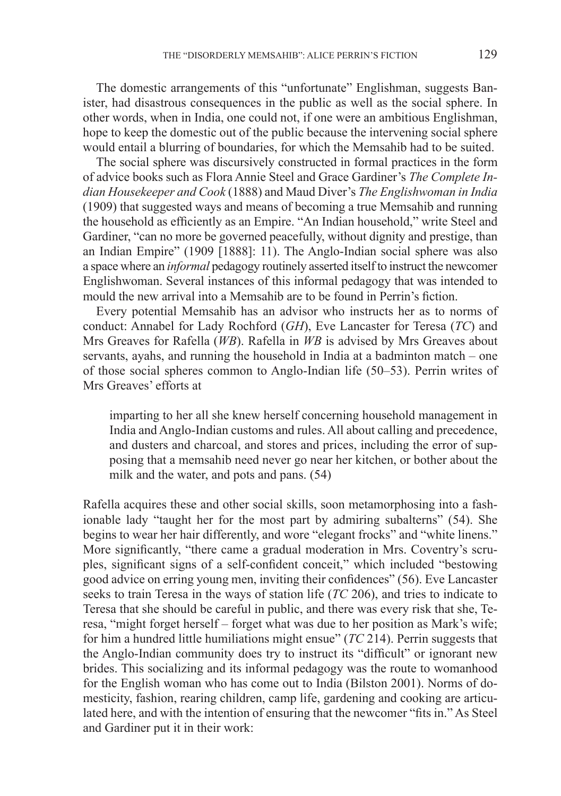The domestic arrangements of this "unfortunate" Englishman, suggests Banister, had disastrous consequences in the public as well as the social sphere. In other words, when in India, one could not, if one were an ambitious Englishman, hope to keep the domestic out of the public because the intervening social sphere would entail a blurring of boundaries, for which the Memsahib had to be suited.

The social sphere was discursively constructed in formal practices in the form of advice books such as Flora Annie Steel and Grace Gardiner's *The Complete Indian Housekeeper and Cook* (1888) and Maud Diver's *The Englishwoman in India* (1909) that suggested ways and means of becoming a true Memsahib and running the household as efficiently as an Empire. "An Indian household," write Steel and Gardiner, "can no more be governed peacefully, without dignity and prestige, than an Indian Empire" (1909 [1888]: 11). The Anglo-Indian social sphere was also a space where an *informal* pedagogy routinely asserted itself to instruct the newcomer Englishwoman. Several instances of this informal pedagogy that was intended to mould the new arrival into a Memsahib are to be found in Perrin's fiction.

Every potential Memsahib has an advisor who instructs her as to norms of conduct: Annabel for Lady Rochford (*GH*), Eve Lancaster for Teresa (*TC*) and Mrs Greaves for Rafella (*WB*). Rafella in *WB* is advised by Mrs Greaves about servants, ayahs, and running the household in India at a badminton match – one of those social spheres common to Anglo-Indian life (50–53). Perrin writes of Mrs Greaves' efforts at

imparting to her all she knew herself concerning household management in India and Anglo-Indian customs and rules. All about calling and precedence, and dusters and charcoal, and stores and prices, including the error of supposing that a memsahib need never go near her kitchen, or bother about the milk and the water, and pots and pans. (54)

Rafella acquires these and other social skills, soon metamorphosing into a fashionable lady "taught her for the most part by admiring subalterns" (54). She begins to wear her hair differently, and wore "elegant frocks" and "white linens." More significantly, "there came a gradual moderation in Mrs. Coventry's scruples, significant signs of a self-confident conceit," which included "bestowing good advice on erring young men, inviting their confidences" (56). Eve Lancaster seeks to train Teresa in the ways of station life (*TC* 206), and tries to indicate to Teresa that she should be careful in public, and there was every risk that she, Teresa, "might forget herself – forget what was due to her position as Mark's wife; for him a hundred little humiliations might ensue" (*TC* 214). Perrin suggests that the Anglo-Indian community does try to instruct its "difficult" or ignorant new brides. This socializing and its informal pedagogy was the route to womanhood for the English woman who has come out to India (Bilston 2001). Norms of domesticity, fashion, rearing children, camp life, gardening and cooking are articulated here, and with the intention of ensuring that the newcomer "fits in." As Steel and Gardiner put it in their work: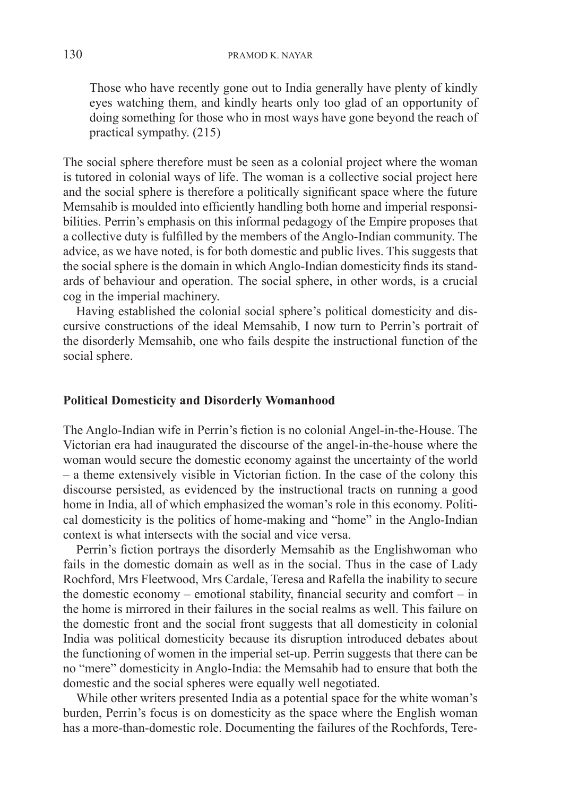Those who have recently gone out to India generally have plenty of kindly eyes watching them, and kindly hearts only too glad of an opportunity of doing something for those who in most ways have gone beyond the reach of practical sympathy. (215)

The social sphere therefore must be seen as a colonial project where the woman is tutored in colonial ways of life. The woman is a collective social project here and the social sphere is therefore a politically significant space where the future Memsahib is moulded into efficiently handling both home and imperial responsibilities. Perrin's emphasis on this informal pedagogy of the Empire proposes that a collective duty is fulfilled by the members of the Anglo-Indian community. The advice, as we have noted, is for both domestic and public lives. This suggests that the social sphere is the domain in which Anglo-Indian domesticity finds its standards of behaviour and operation. The social sphere, in other words, is a crucial cog in the imperial machinery.

Having established the colonial social sphere's political domesticity and discursive constructions of the ideal Memsahib, I now turn to Perrin's portrait of the disorderly Memsahib, one who fails despite the instructional function of the social sphere.

## **Political Domesticity and Disorderly Womanhood**

The Anglo-Indian wife in Perrin's fiction is no colonial Angel-in-the-House. The Victorian era had inaugurated the discourse of the angel-in-the-house where the woman would secure the domestic economy against the uncertainty of the world – a theme extensively visible in Victorian fiction. In the case of the colony this discourse persisted, as evidenced by the instructional tracts on running a good home in India, all of which emphasized the woman's role in this economy. Political domesticity is the politics of home-making and "home" in the Anglo-Indian context is what intersects with the social and vice versa.

Perrin's fiction portrays the disorderly Memsahib as the Englishwoman who fails in the domestic domain as well as in the social. Thus in the case of Lady Rochford, Mrs Fleetwood, Mrs Cardale, Teresa and Rafella the inability to secure the domestic economy – emotional stability, financial security and comfort – in the home is mirrored in their failures in the social realms as well. This failure on the domestic front and the social front suggests that all domesticity in colonial India was political domesticity because its disruption introduced debates about the functioning of women in the imperial set-up. Perrin suggests that there can be no "mere" domesticity in Anglo-India: the Memsahib had to ensure that both the domestic and the social spheres were equally well negotiated.

While other writers presented India as a potential space for the white woman's burden, Perrin's focus is on domesticity as the space where the English woman has a more-than-domestic role. Documenting the failures of the Rochfords, Tere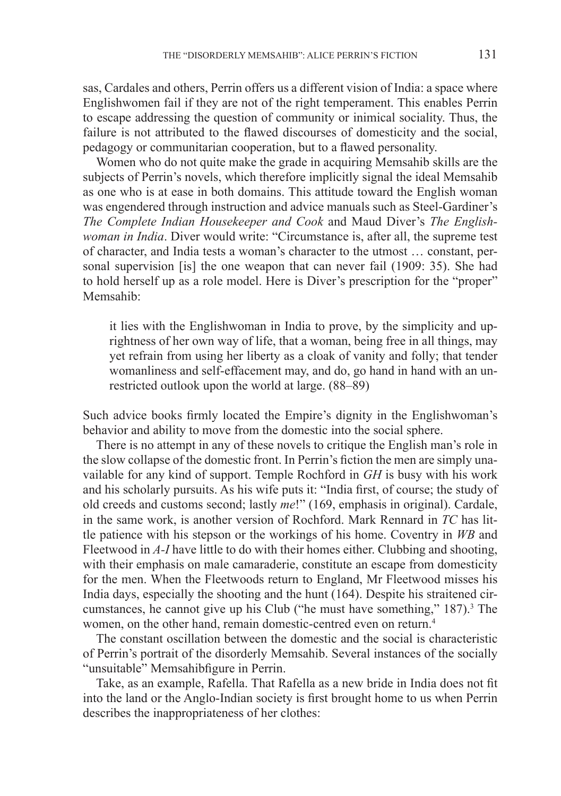sas, Cardales and others, Perrin offers us a different vision of India: a space where Englishwomen fail if they are not of the right temperament. This enables Perrin to escape addressing the question of community or inimical sociality. Thus, the failure is not attributed to the flawed discourses of domesticity and the social, pedagogy or communitarian cooperation, but to a flawed personality.

Women who do not quite make the grade in acquiring Memsahib skills are the subjects of Perrin's novels, which therefore implicitly signal the ideal Memsahib as one who is at ease in both domains. This attitude toward the English woman was engendered through instruction and advice manuals such as Steel-Gardiner's *The Complete Indian Housekeeper and Cook* and Maud Diver's *The Englishwoman in India*. Diver would write: "Circumstance is, after all, the supreme test of character, and India tests a woman's character to the utmost … constant, personal supervision [is] the one weapon that can never fail (1909: 35). She had to hold herself up as a role model. Here is Diver's prescription for the "proper" Memsahib:

it lies with the Englishwoman in India to prove, by the simplicity and uprightness of her own way of life, that a woman, being free in all things, may yet refrain from using her liberty as a cloak of vanity and folly; that tender womanliness and self-effacement may, and do, go hand in hand with an unrestricted outlook upon the world at large. (88–89)

Such advice books firmly located the Empire's dignity in the Englishwoman's behavior and ability to move from the domestic into the social sphere.

There is no attempt in any of these novels to critique the English man's role in the slow collapse of the domestic front. In Perrin's fiction the men are simply unavailable for any kind of support. Temple Rochford in *GH* is busy with his work and his scholarly pursuits. As his wife puts it: "India first, of course; the study of old creeds and customs second; lastly *me*!" (169, emphasis in original). Cardale, in the same work, is another version of Rochford. Mark Rennard in *TC* has little patience with his stepson or the workings of his home. Coventry in *WB* and Fleetwood in *A-I* have little to do with their homes either. Clubbing and shooting, with their emphasis on male camaraderie, constitute an escape from domesticity for the men. When the Fleetwoods return to England, Mr Fleetwood misses his India days, especially the shooting and the hunt (164). Despite his straitened circumstances, he cannot give up his Club ("he must have something," 187).<sup>3</sup> The women, on the other hand, remain domestic-centred even on return.<sup>4</sup>

The constant oscillation between the domestic and the social is characteristic of Perrin's portrait of the disorderly Memsahib. Several instances of the socially "unsuitable" Memsahibfigure in Perrin.

Take, as an example, Rafella. That Rafella as a new bride in India does not fit into the land or the Anglo-Indian society is first brought home to us when Perrin describes the inappropriateness of her clothes: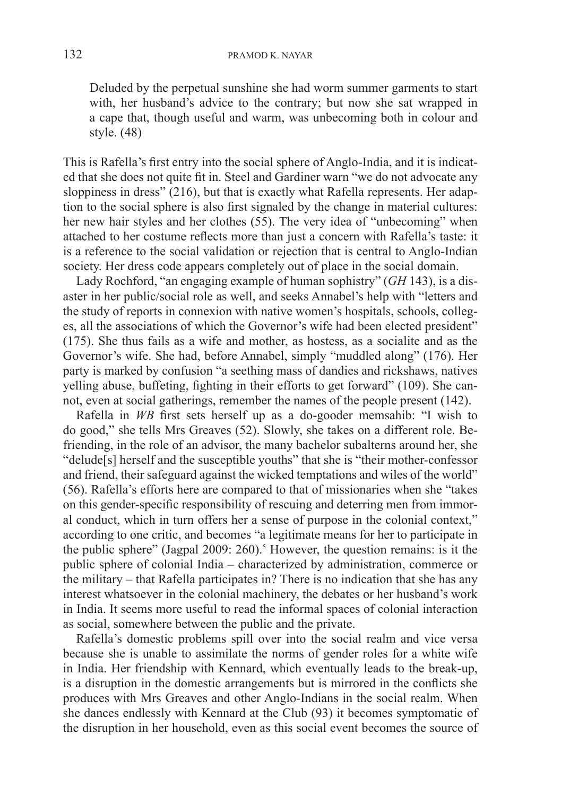Deluded by the perpetual sunshine she had worm summer garments to start with, her husband's advice to the contrary; but now she sat wrapped in a cape that, though useful and warm, was unbecoming both in colour and style. (48)

This is Rafella's first entry into the social sphere of Anglo-India, and it is indicated that she does not quite fit in. Steel and Gardiner warn "we do not advocate any sloppiness in dress" (216), but that is exactly what Rafella represents. Her adaption to the social sphere is also first signaled by the change in material cultures: her new hair styles and her clothes (55). The very idea of "unbecoming" when attached to her costume reflects more than just a concern with Rafella's taste: it is a reference to the social validation or rejection that is central to Anglo-Indian society. Her dress code appears completely out of place in the social domain.

Lady Rochford, "an engaging example of human sophistry" (*GH* 143), is a disaster in her public/social role as well, and seeks Annabel's help with "letters and the study of reports in connexion with native women's hospitals, schools, colleges, all the associations of which the Governor's wife had been elected president" (175). She thus fails as a wife and mother, as hostess, as a socialite and as the Governor's wife. She had, before Annabel, simply "muddled along" (176). Her party is marked by confusion "a seething mass of dandies and rickshaws, natives yelling abuse, buffeting, fighting in their efforts to get forward" (109). She cannot, even at social gatherings, remember the names of the people present (142).

Rafella in *WB* first sets herself up as a do-gooder memsahib: "I wish to do good," she tells Mrs Greaves (52). Slowly, she takes on a different role. Befriending, in the role of an advisor, the many bachelor subalterns around her, she "delude[s] herself and the susceptible youths" that she is "their mother-confessor and friend, their safeguard against the wicked temptations and wiles of the world" (56). Rafella's efforts here are compared to that of missionaries when she "takes on this gender-specific responsibility of rescuing and deterring men from immoral conduct, which in turn offers her a sense of purpose in the colonial context," according to one critic, and becomes "a legitimate means for her to participate in the public sphere" (Jagpal 2009:  $260$ ).<sup>5</sup> However, the question remains: is it the public sphere of colonial India – characterized by administration, commerce or the military – that Rafella participates in? There is no indication that she has any interest whatsoever in the colonial machinery, the debates or her husband's work in India. It seems more useful to read the informal spaces of colonial interaction as social, somewhere between the public and the private.

Rafella's domestic problems spill over into the social realm and vice versa because she is unable to assimilate the norms of gender roles for a white wife in India. Her friendship with Kennard, which eventually leads to the break-up, is a disruption in the domestic arrangements but is mirrored in the conflicts she produces with Mrs Greaves and other Anglo-Indians in the social realm. When she dances endlessly with Kennard at the Club (93) it becomes symptomatic of the disruption in her household, even as this social event becomes the source of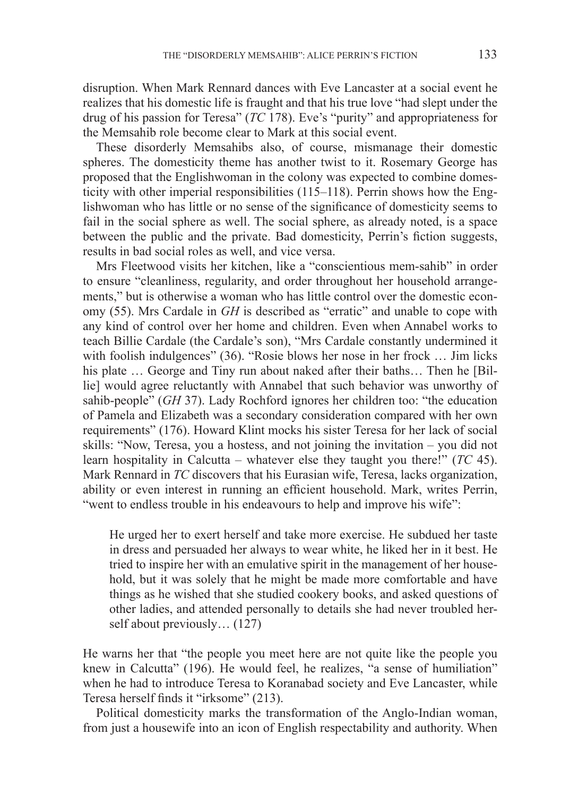disruption. When Mark Rennard dances with Eve Lancaster at a social event he realizes that his domestic life is fraught and that his true love "had slept under the drug of his passion for Teresa" (*TC* 178). Eve's "purity" and appropriateness for the Memsahib role become clear to Mark at this social event.

These disorderly Memsahibs also, of course, mismanage their domestic spheres. The domesticity theme has another twist to it. Rosemary George has proposed that the Englishwoman in the colony was expected to combine domesticity with other imperial responsibilities (115–118). Perrin shows how the Englishwoman who has little or no sense of the significance of domesticity seems to fail in the social sphere as well. The social sphere, as already noted, is a space between the public and the private. Bad domesticity, Perrin's fiction suggests, results in bad social roles as well, and vice versa.

Mrs Fleetwood visits her kitchen, like a "conscientious mem-sahib" in order to ensure "cleanliness, regularity, and order throughout her household arrangements," but is otherwise a woman who has little control over the domestic economy (55). Mrs Cardale in *GH* is described as "erratic" and unable to cope with any kind of control over her home and children. Even when Annabel works to teach Billie Cardale (the Cardale's son), "Mrs Cardale constantly undermined it with foolish indulgences" (36). "Rosie blows her nose in her frock ... Jim licks his plate ... George and Tiny run about naked after their baths... Then he [Billie] would agree reluctantly with Annabel that such behavior was unworthy of sahib-people" (*GH* 37). Lady Rochford ignores her children too: "the education of Pamela and Elizabeth was a secondary consideration compared with her own requirements" (176). Howard Klint mocks his sister Teresa for her lack of social skills: "Now, Teresa, you a hostess, and not joining the invitation – you did not learn hospitality in Calcutta – whatever else they taught you there!" (*TC* 45). Mark Rennard in *TC* discovers that his Eurasian wife, Teresa, lacks organization, ability or even interest in running an efficient household. Mark, writes Perrin, "went to endless trouble in his endeavours to help and improve his wife":

He urged her to exert herself and take more exercise. He subdued her taste in dress and persuaded her always to wear white, he liked her in it best. He tried to inspire her with an emulative spirit in the management of her household, but it was solely that he might be made more comfortable and have things as he wished that she studied cookery books, and asked questions of other ladies, and attended personally to details she had never troubled herself about previously… (127)

He warns her that "the people you meet here are not quite like the people you knew in Calcutta" (196). He would feel, he realizes, "a sense of humiliation" when he had to introduce Teresa to Koranabad society and Eve Lancaster, while Teresa herself finds it "irksome" (213).

Political domesticity marks the transformation of the Anglo-Indian woman, from just a housewife into an icon of English respectability and authority. When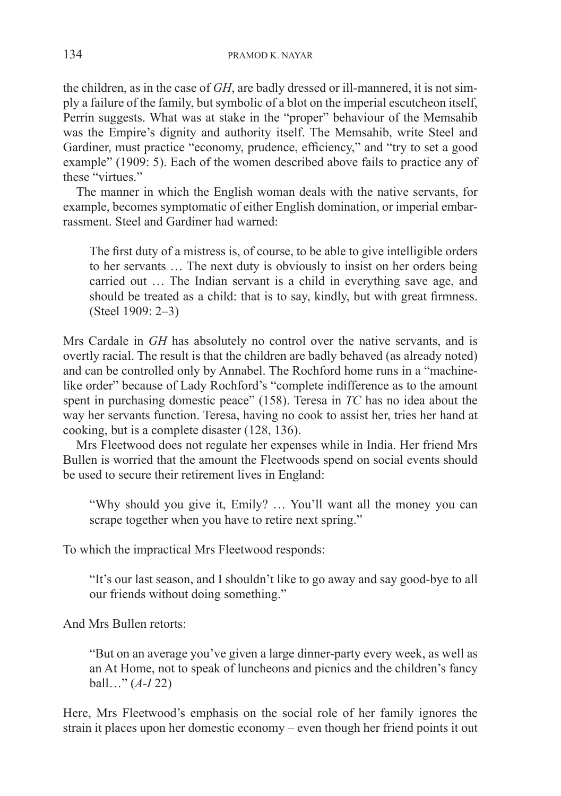the children, as in the case of *GH*, are badly dressed or ill-mannered, it is not simply a failure of the family, but symbolic of a blot on the imperial escutcheon itself, Perrin suggests. What was at stake in the "proper" behaviour of the Memsahib was the Empire's dignity and authority itself. The Memsahib, write Steel and Gardiner, must practice "economy, prudence, efficiency," and "try to set a good example" (1909: 5). Each of the women described above fails to practice any of these "virtues"

The manner in which the English woman deals with the native servants, for example, becomes symptomatic of either English domination, or imperial embarrassment. Steel and Gardiner had warned:

The first duty of a mistress is, of course, to be able to give intelligible orders to her servants … The next duty is obviously to insist on her orders being carried out … The Indian servant is a child in everything save age, and should be treated as a child: that is to say, kindly, but with great firmness. (Steel 1909: 2–3)

Mrs Cardale in *GH* has absolutely no control over the native servants, and is overtly racial. The result is that the children are badly behaved (as already noted) and can be controlled only by Annabel. The Rochford home runs in a "machinelike order" because of Lady Rochford's "complete indifference as to the amount spent in purchasing domestic peace" (158). Teresa in *TC* has no idea about the way her servants function. Teresa, having no cook to assist her, tries her hand at cooking, but is a complete disaster (128, 136).

Mrs Fleetwood does not regulate her expenses while in India. Her friend Mrs Bullen is worried that the amount the Fleetwoods spend on social events should be used to secure their retirement lives in England:

"Why should you give it, Emily? … You'll want all the money you can scrape together when you have to retire next spring."

To which the impractical Mrs Fleetwood responds:

"It's our last season, and I shouldn't like to go away and say good-bye to all our friends without doing something."

And Mrs Bullen retorts:

"But on an average you've given a large dinner-party every week, as well as an At Home, not to speak of luncheons and picnics and the children's fancy ball…" (*A-I* 22)

Here, Mrs Fleetwood's emphasis on the social role of her family ignores the strain it places upon her domestic economy – even though her friend points it out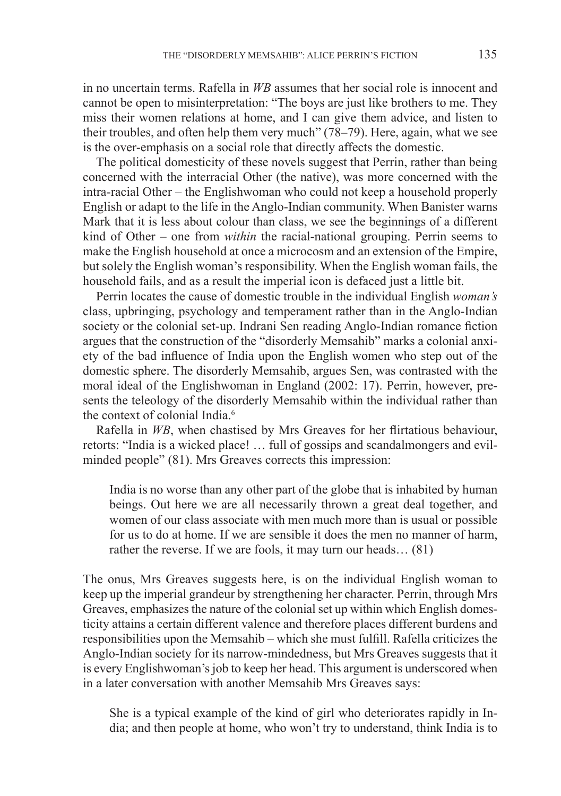in no uncertain terms. Rafella in *WB* assumes that her social role is innocent and cannot be open to misinterpretation: "The boys are just like brothers to me. They miss their women relations at home, and I can give them advice, and listen to their troubles, and often help them very much" (78–79). Here, again, what we see is the over-emphasis on a social role that directly affects the domestic.

The political domesticity of these novels suggest that Perrin, rather than being concerned with the interracial Other (the native), was more concerned with the intra-racial Other – the Englishwoman who could not keep a household properly English or adapt to the life in the Anglo-Indian community. When Banister warns Mark that it is less about colour than class, we see the beginnings of a different kind of Other – one from *within* the racial-national grouping. Perrin seems to make the English household at once a microcosm and an extension of the Empire, but solely the English woman's responsibility. When the English woman fails, the household fails, and as a result the imperial icon is defaced just a little bit.

Perrin locates the cause of domestic trouble in the individual English *woman's* class, upbringing, psychology and temperament rather than in the Anglo-Indian society or the colonial set-up. Indrani Sen reading Anglo-Indian romance fiction argues that the construction of the "disorderly Memsahib" marks a colonial anxiety of the bad influence of India upon the English women who step out of the domestic sphere. The disorderly Memsahib, argues Sen, was contrasted with the moral ideal of the Englishwoman in England (2002: 17). Perrin, however, presents the teleology of the disorderly Memsahib within the individual rather than the context of colonial India.<sup>6</sup>

Rafella in *WB*, when chastised by Mrs Greaves for her flirtatious behaviour, retorts: "India is a wicked place! … full of gossips and scandalmongers and evilminded people" (81). Mrs Greaves corrects this impression:

India is no worse than any other part of the globe that is inhabited by human beings. Out here we are all necessarily thrown a great deal together, and women of our class associate with men much more than is usual or possible for us to do at home. If we are sensible it does the men no manner of harm, rather the reverse. If we are fools, it may turn our heads… (81)

The onus, Mrs Greaves suggests here, is on the individual English woman to keep up the imperial grandeur by strengthening her character. Perrin, through Mrs Greaves, emphasizes the nature of the colonial set up within which English domesticity attains a certain different valence and therefore places different burdens and responsibilities upon the Memsahib – which she must fulfill. Rafella criticizes the Anglo-Indian society for its narrow-mindedness, but Mrs Greaves suggests that it is every Englishwoman's job to keep her head. This argument is underscored when in a later conversation with another Memsahib Mrs Greaves says:

She is a typical example of the kind of girl who deteriorates rapidly in India; and then people at home, who won't try to understand, think India is to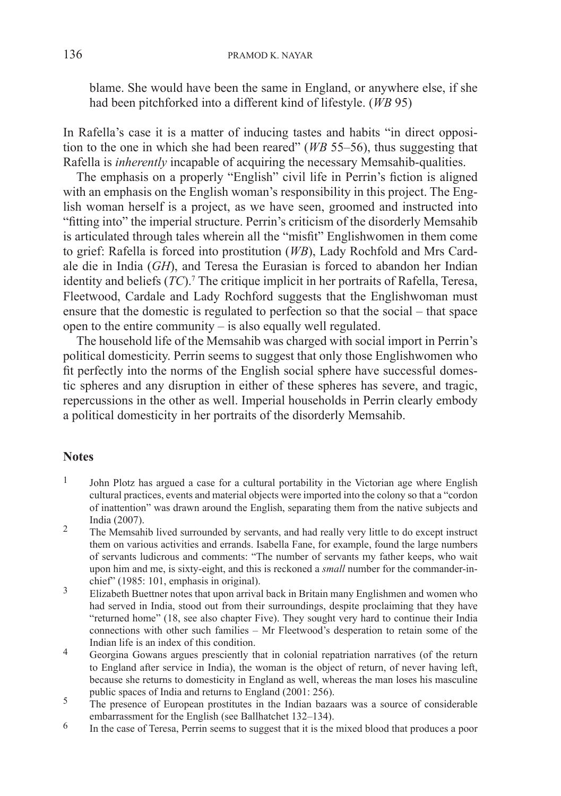blame. She would have been the same in England, or anywhere else, if she had been pitchforked into a different kind of lifestyle. (*WB* 95)

In Rafella's case it is a matter of inducing tastes and habits "in direct opposition to the one in which she had been reared" (*WB* 55–56), thus suggesting that Rafella is *inherently* incapable of acquiring the necessary Memsahib-qualities.

The emphasis on a properly "English" civil life in Perrin's fiction is aligned with an emphasis on the English woman's responsibility in this project. The English woman herself is a project, as we have seen, groomed and instructed into "fitting into" the imperial structure. Perrin's criticism of the disorderly Memsahib is articulated through tales wherein all the "misfit" Englishwomen in them come to grief: Rafella is forced into prostitution (*WB*), Lady Rochfold and Mrs Cardale die in India (*GH*), and Teresa the Eurasian is forced to abandon her Indian identity and beliefs (*TC*).<sup>7</sup> The critique implicit in her portraits of Rafella, Teresa, Fleetwood, Cardale and Lady Rochford suggests that the Englishwoman must ensure that the domestic is regulated to perfection so that the social – that space open to the entire community – is also equally well regulated.

The household life of the Memsahib was charged with social import in Perrin's political domesticity. Perrin seems to suggest that only those Englishwomen who fit perfectly into the norms of the English social sphere have successful domestic spheres and any disruption in either of these spheres has severe, and tragic, repercussions in the other as well. Imperial households in Perrin clearly embody a political domesticity in her portraits of the disorderly Memsahib.

# **Notes**

- $1$  John Plotz has argued a case for a cultural portability in the Victorian age where English cultural practices, events and material objects were imported into the colony so that a "cordon of inattention" was drawn around the English, separating them from the native subjects and India (2007).
- <sup>2</sup> The Memsahib lived surrounded by servants, and had really very little to do except instruct them on various activities and errands. Isabella Fane, for example, found the large numbers of servants ludicrous and comments: "The number of servants my father keeps, who wait upon him and me, is sixty-eight, and this is reckoned a *small* number for the commander-inchief" (1985: 101, emphasis in original).
- <sup>3</sup> Elizabeth Buettner notes that upon arrival back in Britain many Englishmen and women who had served in India, stood out from their surroundings, despite proclaiming that they have "returned home" (18, see also chapter Five). They sought very hard to continue their India connections with other such families – Mr Fleetwood's desperation to retain some of the Indian life is an index of this condition.
- 4 Georgina Gowans argues presciently that in colonial repatriation narratives (of the return to England after service in India), the woman is the object of return, of never having left, because she returns to domesticity in England as well, whereas the man loses his masculine public spaces of India and returns to England (2001: 256).
- <sup>5</sup> The presence of European prostitutes in the Indian bazaars was a source of considerable embarrassment for the English (see Ballhatchet 132–134).
- <sup>6</sup> In the case of Teresa, Perrin seems to suggest that it is the mixed blood that produces a poor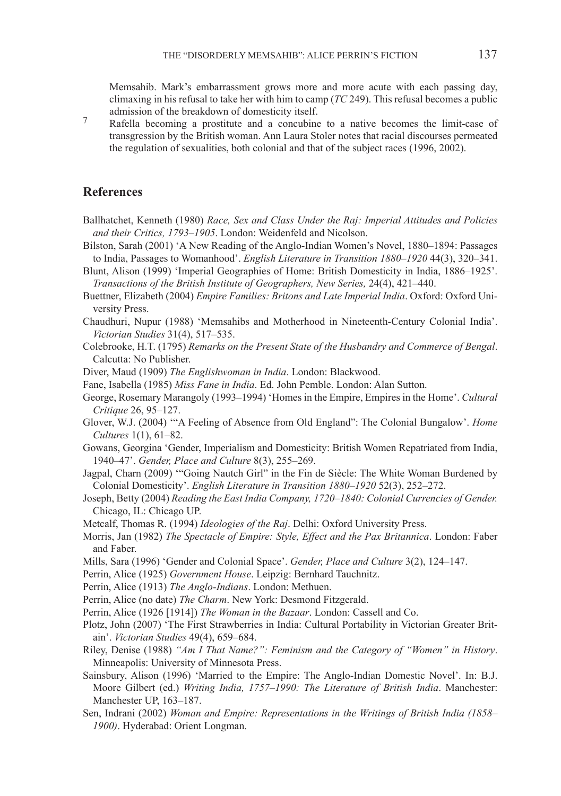Memsahib. Mark's embarrassment grows more and more acute with each passing day, climaxing in his refusal to take her with him to camp (*TC* 249). This refusal becomes a public admission of the breakdown of domesticity itself.

7 Rafella becoming a prostitute and a concubine to a native becomes the limit-case of transgression by the British woman. Ann Laura Stoler notes that racial discourses permeated the regulation of sexualities, both colonial and that of the subject races (1996, 2002).

## **References**

- Ballhatchet, Kenneth (1980) *Race, Sex and Class Under the Raj: Imperial Attitudes and Policies and their Critics, 1793–1905*. London: Weidenfeld and Nicolson.
- Bilston, Sarah (2001) 'A New Reading of the Anglo-Indian Women's Novel, 1880–1894: Passages to India, Passages to Womanhood'. *English Literature in Transition 1880*–*1920* 44(3), 320–341.
- Blunt, Alison (1999) 'Imperial Geographies of Home: British Domesticity in India, 1886–1925'. *Transactions of the British Institute of Geographers, New Series,* 24(4), 421–440.
- Buettner, Elizabeth (2004) *Empire Families: Britons and Late Imperial India*. Oxford: Oxford University Press.
- Chaudhuri, Nupur (1988) 'Memsahibs and Motherhood in Nineteenth-Century Colonial India'. *Victorian Studies* 31(4), 517–535.
- Colebrooke, H.T. (1795) *Remarks on the Present State of the Husbandry and Commerce of Bengal*. Calcutta: No Publisher.
- Diver, Maud (1909) *The Englishwoman in India*. London: Blackwood.
- Fane, Isabella (1985) *Miss Fane in India*. Ed. John Pemble. London: Alan Sutton.
- George, Rosemary Marangoly (1993–1994) 'Homes in the Empire, Empires in the Home'. *Cultural Critique* 26, 95–127.
- Glover, W.J. (2004) '"A Feeling of Absence from Old England": The Colonial Bungalow'. *Home Cultures* 1(1), 61–82.
- Gowans, Georgina 'Gender, Imperialism and Domesticity: British Women Repatriated from India, 1940–47'. *Gender, Place and Culture* 8(3), 255–269.
- Jagpal, Charn (2009) '"Going Nautch Girl" in the Fin de Siècle: The White Woman Burdened by Colonial Domesticity'. *English Literature in Transition 1880*–*1920* 52(3), 252–272.
- Joseph, Betty (2004) *Reading the East India Company, 1720–1840: Colonial Currencies of Gender.*  Chicago, IL: Chicago UP.
- Metcalf, Thomas R. (1994) *Ideologies of the Raj*. Delhi: Oxford University Press.
- Morris, Jan (1982) *The Spectacle of Empire: Style, Effect and the Pax Britannica*. London: Faber and Faber.
- Mills, Sara (1996) 'Gender and Colonial Space'. *Gender, Place and Culture* 3(2), 124–147.
- Perrin, Alice (1925) *Government House*. Leipzig: Bernhard Tauchnitz.
- Perrin, Alice (1913) *The Anglo-Indians*. London: Methuen.

Perrin, Alice (no date) *The Charm*. New York: Desmond Fitzgerald.

- Perrin, Alice (1926 [1914]) *The Woman in the Bazaar*. London: Cassell and Co.
- Plotz, John (2007) 'The First Strawberries in India: Cultural Portability in Victorian Greater Britain'. *Victorian Studies* 49(4), 659–684.
- Riley, Denise (1988) *"Am I That Name?": Feminism and the Category of "Women" in History*. Minneapolis: University of Minnesota Press.
- Sainsbury, Alison (1996) 'Married to the Empire: The Anglo-Indian Domestic Novel'. In: B.J. Moore Gilbert (ed.) *Writing India, 1757–1990: The Literature of British India*. Manchester: Manchester UP, 163–187.
- Sen, Indrani (2002) *Woman and Empire: Representations in the Writings of British India (1858– 1900)*. Hyderabad: Orient Longman.